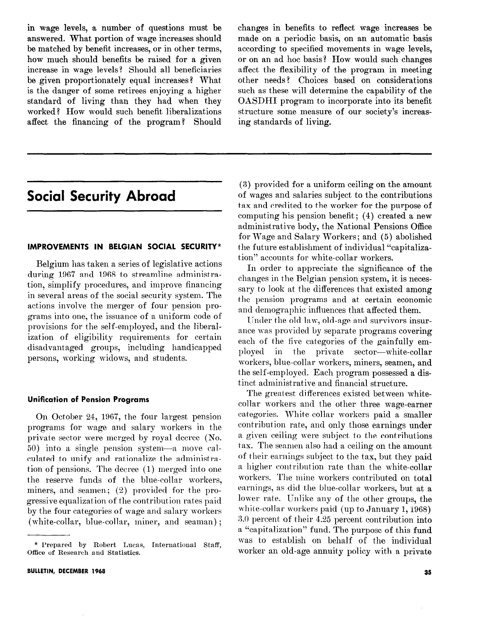in wage levels, a number of questions must be answered. What portion of wage increases should be matched by benefit increases, or in other terms, how much should benefits be raised for a given increase in wage levels? Should all beneficiaries be given proportionately equal increases? What is the danger of some retirees enjoying a higher standard of living than they had when they worked? How would such benefit liberalizations affect the financing of the program ? Should

## Social Security Abroad

## IMPROVEMENTS IN BELGIAN SOCIAL SECURITY\*

Belgium has taken a series of legislative actions during 1967 and 1968 to streamline administration, simplify procedures, and improve financing in several areas of the social security system. The actions involve the merger of four pension programs into one, the issuance of a uniform code of provisions for the self-employed, and the liberalization of eligibility requirements for certain disadvantaged groups, including handicapped persons, working widows, and students.

#### Unification of Pension Programs

On October 24, 1967, the four largest, pension programs for wage and salary workers in the private sector were merged by royal decree (No.  $50)$  into a single pension system—a move calculated to unify and rationalize the administration of pensions. The decree (1) merged into one the reserve funds of the blue-collar workers, miners, and seamen; (2) provided for the progressive equalization of the contribution rates paid by the four categories of wage and salary workers (white-collar, blue-collar, miner, and seaman) ;

changes in benefits to reflect wage increases be made on a periodic basis, on an automatic basis according to specified movements in wage levels, or on an ad hoc basis! How would such changes affect the flexibility of the program in meeting other needs? Choices based on considerations such as these will determine the capability of the OASDHI program to incorporate into its benefit structure some measure of our society's increasing standards of living.

(3) provided for a uniform ceiling on the amount of wages and salaries subject to the contributions tax and credited to the worker for the purpose of computing his pension benefit; (4) created a new administrative body, the National Pensions Office for Wage and Salary Workers; and (5) abolished the future establishment of individual "capitalization" accounts for white-collar workers.

In order to appreciate the significance of the changes in the Belgian pension system, it is necessary to look at the differences that existed among the pension programs and at certain economic and demographic influences that affected them.

Under the old law, old-age and survivors insurance was provided by separate programs covering each of the five categories of the gainfully employed in the private sector-white-collar workers, blue-collar workers, miners, seamen, and the self-employed. Each program possessed a distinct administrative and financial structure.

The greatest differences existed between whitecollar workers and the other three wage-earner categories. White-collar workers paid a smaller contribution rate, and only those earnings under a given ceiling were subject to the contributions tax. The seamen also had a ceiling on the amount of their earnings subject to the tax, but they paid a higher contribution rate than the white-collar workers. The mine workers contributed on total earnings, as did the blue-collar workers, but at a lower rate. Unlike any of the other groups, the white-collar workers paid (up to January 1, 1968) 3.0 percent of their 4.25 percent contribution into a "capitalization" fund. The purpose of this fund was to establish on behalf of the individual worker an old-age annuity policy with a private

<sup>\*</sup> Prepared by Robert Lucas, International Staff, Office of Research and Statistics.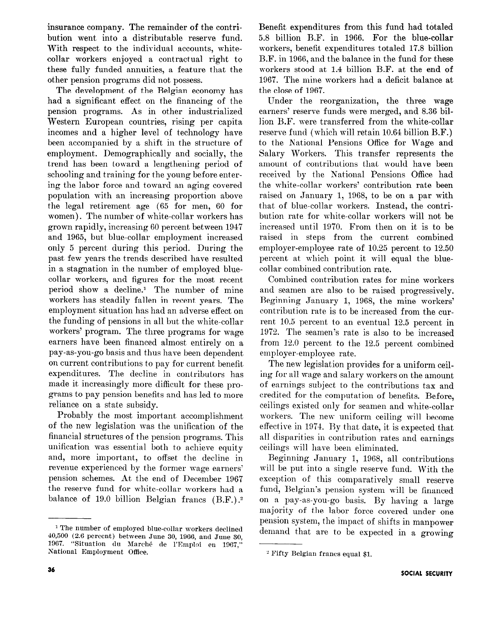insurance company. The remainder of the contribution went into a distributable reserve fund. With respect to the individual accounts, whitecollar workers enjoyed a contractual right to these fully funded annuities, a feature that the other pension programs did not possess.

The development of the Belgian economy has had a significant effect on the financing of the pension programs. As in other industrialized Western European countries, rising per capita incomes and a higher level of technology have been accompanied by a shift in the structure of employment. Demographically and socially, the trend has been toward a lengthening period of schooling and training for the young before entering the labor force and toward an aging covered population with an increasing proportion above the legal retirement age (65 for men, 60 for women). The number of white-collar workers has grown rapidly, increasing 60 percent between 1947 and 1965, but blue-collar employment increased only 5 percent during this period. During the past few years the trends described have resulted in a stagnation in the number of employed bluecollar workers, and figures for the most recent period show a decline.<sup>1</sup> The number of mine workers has steadily fallen in recent years. The employment situation has had an adverse effect on the funding of pensions in all but the white-collar workers' program. The three programs for wage earners have been financed almost entirely on a pay-as-you-go basis and thus have been dependent on current contributions to pay for current benefit expenditures. The decline in contributors has made it increasingly more difficult for these programs to pay pension benefits and has led to more reliance on a state subsidy.

Probably the most important accomplishment of the new legislation was the unification of the financial structures of the pension programs. This unification was essential both to achieve equity and, more important, to offset the decline in revenue experienced by the former wage earners' pension schemes. At the end of December 1967 the reserve fund for white-collar workers had a balance of 19.0 billion Belgian francs  $(B.F.)$ .

1 The number of employed blue-collar workers declined 40,500 (2.6 percent) between June 30, 1966, and June 30, 1967. "Situation du Marché de l'Emploi en 1967," Sational Employment Office.

Benefit expenditures from this fund had totaled 5.8 billion B.F. in 1966. For the blue-collar workers, benefit expenditures totaled 17.8 billion B.F. in 1966, and the balance in the fund for these workers stood at 1.4 billion B.F. at the end of 1967. The mine workers had a deficit balance at the close of 1967.

Under the reorganization, the three wage earners' reserve funds were merged, and 8.36 billion B.F. were transferred from the white-collar reserve fund (which will retain 10.64 billion B.F.) to the National Pensions Office for Wage and Salary Workers. This transfer represents the amount of contributions that would have been received by the National Pensions Office had the white-collar workers' contribution rate been raised on January 1, 1968, to be on a par with that, of blue-collar workers. Instead, the contribution rate for white-collar workers will not be increased until 1970. From then on it is to be raised in steps from the current combined employer-employee rate of 10.25 percent to 12.50 percent at which point it will equal the bluecollar combined contribution rate.

Combined contribution rates for mine workers and seamen are also to be raised progressively. Beginning January 1, 1968, the mine workers' contribution rate is to be increased from the current 10.5 percent to an eventual 12.5 percent in 1972. The seamen's rate is also to be increased from 12.0 percent to the 12.5 percent combined employer-employee rate.

The new legislation provides for a uniform ceiling for all wage and salary workers on the amount of earnings subject to the contributions tax and credited for the computation of benefits. Before, ceilings existed only for seamen and white-collar workers. The new uniform ceiling will become effective in 1971. By that date, it is expected that all disparities in contribution rates and earnings ceilings will have been eliminated.

Beginning January 1, 1968, all contributions will be put into a single reserve fund. With the exception of this comparatively small reserve fund, Belgian's pension system will be financed on a pay-as-you-go basis. By having a large majority of the labor force covered under one pension system, the impact of shifts in manpower demand that are to be expected in a growing

<sup>&</sup>quot; Fifty Belgian francs equal \$1.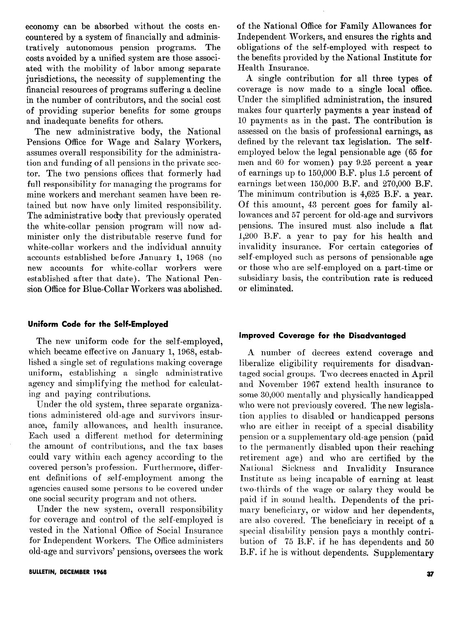economy can be absorbed without the costs encountered by a system of financially and administratively autonomous pension programs. The costs avoided by a unified system are those associated with the mobility of labor among separate jurisdictions, the necessity of supplementing the financial resources of programs suffering a decline in the number of contributors, and the social cost of providing superior benefits for some groups and inadequate benefits for others.

The new administrative body, the National Pensions Office for Wage and Salary Workers, assumes overall responsibility for the administration and funding of all pensions in the private sector. The two pensions offices that formerly had full responsibility for managing the programs for mine workers and merchant seamen have been retained but now have only limited responsibility. The administrative body that previously operated the white-collar pension program will now administer only the distributable reserve fund for white-collar workers and the individual annuity accounts established before January 1, 1968 (no new accounts for white-collar workers were established after that date). The National Pension Office for Blue-Collar Workers was abolished.

### Uniform Code for the Self-Employed

The new uniform code for the self-employed, which became effective on January 1, 1968, established a single set of regulations making coverage uniform, establishing a single administrative agency and simplifying the method for calculating and paying contributions.

Under the old system, three separate organizations administered old-age and survivors insurance, family allowances, and health insurance. Each used a different method for determining the amount of contributions, and the tax bases could vary within each agency according to the covered person's profession. Furthermore, different definitions of self-employment among the agencies caused some persons to be covered under one social security program and not others.

Under the new system, overall responsibility for coverage and control of the self-employed is vested in the National Office of Social Insurance for Independent Workers. The Office administers old-age and survivors' pensions, oversees the work of the National Office for Family Allowances for Independent Workers, and ensures the rights and obligations of the self-employed with respect to the benefits provided by the National Institute for Health Insurance.

A single contribution for all three types of coverage is now made to a single local office. Under the simplified administration, the insured makes four quarterly payments a year instead of 10 payments as in the past. The contribution is assessed on the basis of professional earnings, as defined by the relevant tax legislation. The selfemployed below the legal pensionable age (65 for men and 60 for women) pay 9.25 percent a year of earnings up to 150,000 B.F. plus 1.5 percent of earnings between 150,000 B.F. and 270,000 B.F. The minimum contribution is 4,625 B.F. a year. Of this amount, 43 percent goes for family allowances and 57 percent for old-age and survivors pensions. The insured must also include a flat 1,200 B.F. a year to pay for his health and invalidity insurance. For certain categories of self-employed such as persons of pensionable age or those who are self-employed on a part-time or subsidiary basis, the contribution rate is reduced or eliminated.

#### Improved Coverage for the Disadvantaged

A number of decrees extend coverage and liberalize eligibility requirements for disadvantaged social groups. Two decrees enacted in April and November 1967 extend health insurance to some 30,000 mentally and physically handicapped who were not previously covered. The new legislation applies to disabled or handicapped persons who are either in receipt of a special disability pension or a supplementary old-age pension (paid to the permanently disabled upon their reaching retirement age) and who are certified by the National Sickness and Invalidity Insurance Institute as being incapable of earning at least two-thirds of the wage or salary they would be paid if in sound health. Dependents of the primary beneficiary, or widow and her dependents, are also covered. The beneficiary in receipt of a special disability pension pays a monthly contribution of 75 B.F. if he has dependents and 50 B.F. if he is without dependents. Supplementary